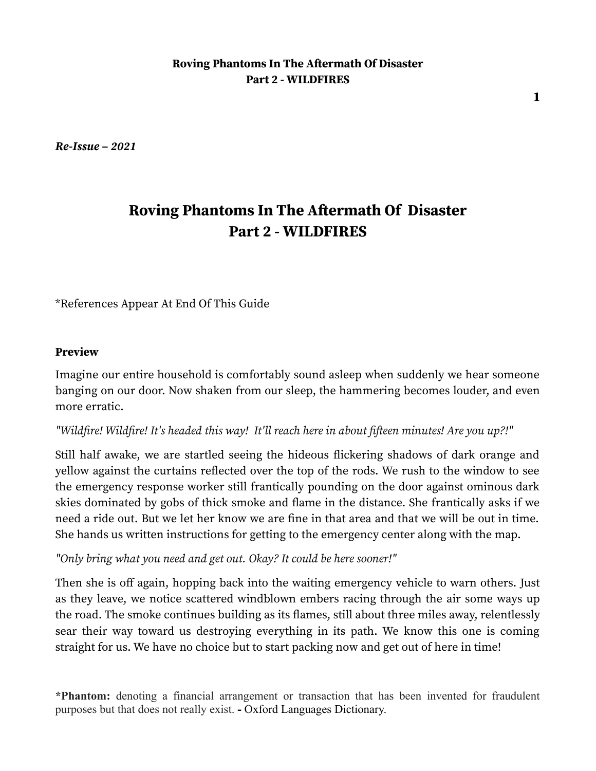*Re-Issue – 2021*

# **Roving Phantoms In The Aftermath Of Disaster Part 2 - WILDFIRES**

\*References Appear At End Of This Guide

#### **Preview**

Imagine our entire household is comfortably sound asleep when suddenly we hear someone banging on our door. Now shaken from our sleep, the hammering becomes louder, and even more erratic.

#### *"Wildfire! Wildfire! It's headed this way! It'll reach here in about fifteen minutes! Are you up?!"*

Still half awake, we are startled seeing the hideous flickering shadows of dark orange and yellow against the curtains reflected over the top of the rods. We rush to the window to see the emergency response worker still frantically pounding on the door against ominous dark skies dominated by gobs of thick smoke and flame in the distance. She frantically asks if we need a ride out. But we let her know we are fine in that area and that we will be out in time. She hands us written instructions for getting to the emergency center along with the map.

*"Only bring what you need and get out. Okay? It could be here sooner!"*

Then she is off again, hopping back into the waiting emergency vehicle to warn others. Just as they leave, we notice scattered windblown embers racing through the air some ways up the road. The smoke continues building as its flames, still about three miles away, relentlessly sear their way toward us destroying everything in its path. We know this one is coming straight for us. We have no choice but to start packing now and get out of here in time!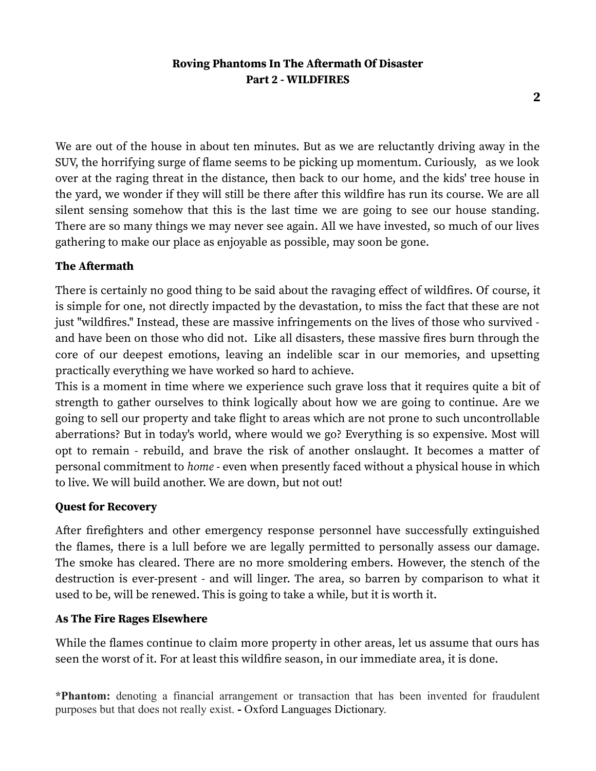**2**

We are out of the house in about ten minutes. But as we are reluctantly driving away in the SUV, the horrifying surge of flame seems to be picking up momentum. Curiously, as we look over at the raging threat in the distance, then back to our home, and the kids' tree house in the yard, we wonder if they will still be there after this wildfire has run its course. We are all silent sensing somehow that this is the last time we are going to see our house standing. There are so many things we may never see again. All we have invested, so much of our lives gathering to make our place as enjoyable as possible, may soon be gone.

### **The Aftermath**

There is certainly no good thing to be said about the ravaging effect of wildfires. Of course, it is simple for one, not directly impacted by the devastation, to miss the fact that these are not just "wildfires." Instead, these are massive infringements on the lives of those who survived and have been on those who did not. Like all disasters, these massive fires burn through the core of our deepest emotions, leaving an indelible scar in our memories, and upsetting practically everything we have worked so hard to achieve.

This is a moment in time where we experience such grave loss that it requires quite a bit of strength to gather ourselves to think logically about how we are going to continue. Are we going to sell our property and take flight to areas which are not prone to such uncontrollable aberrations? But in today's world, where would we go? Everything is so expensive. Most will opt to remain - rebuild, and brave the risk of another onslaught. It becomes a matter of personal commitment to *home -* even when presently faced without a physical house in which to live. We will build another. We are down, but not out!

#### **Quest for Recovery**

After firefighters and other emergency response personnel have successfully extinguished the flames, there is a lull before we are legally permitted to personally assess our damage. The smoke has cleared. There are no more smoldering embers. However, the stench of the destruction is ever-present - and will linger. The area, so barren by comparison to what it used to be, will be renewed. This is going to take a while, but it is worth it.

#### **As The Fire Rages Elsewhere**

While the flames continue to claim more property in other areas, let us assume that ours has seen the worst of it. For at least this wildfire season, in our immediate area, it is done.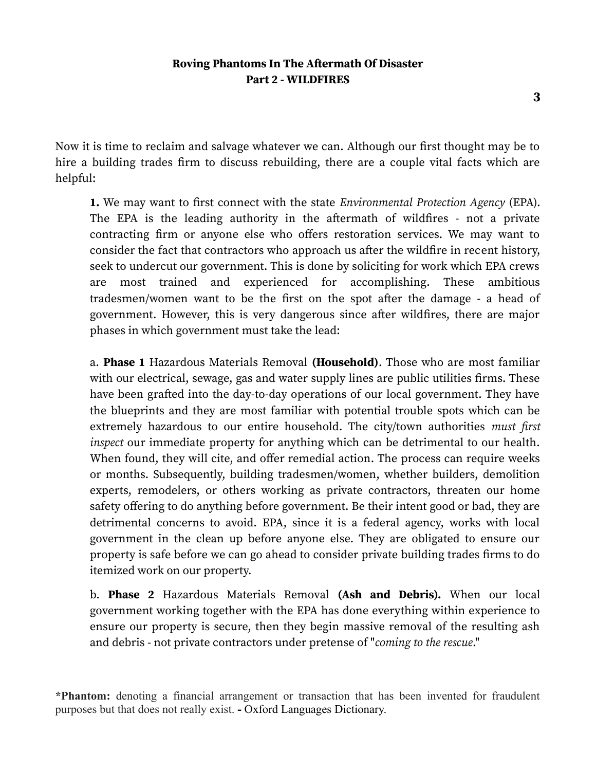Now it is time to reclaim and salvage whatever we can. Although our first thought may be to hire a building trades firm to discuss rebuilding, there are a couple vital facts which are helpful:

**1.** We may want to first connect with the state *Environmental Protection Agency* (EPA). The EPA is the leading authority in the aftermath of wildfires - not a private contracting firm or anyone else who offers restoration services. We may want to consider the fact that contractors who approach us after the wildfire in recent history, seek to undercut our government. This is done by soliciting for work which EPA crews are most trained and experienced for accomplishing. These ambitious tradesmen/women want to be the first on the spot after the damage - a head of government. However, this is very dangerous since after wildfires, there are major phases in which government must take the lead:

a. **Phase 1** Hazardous Materials Removal **(Household)**. Those who are most familiar with our electrical, sewage, gas and water supply lines are public utilities firms. These have been grafted into the day-to-day operations of our local government. They have the blueprints and they are most familiar with potential trouble spots which can be extremely hazardous to our entire household. The city/town authorities *must first inspect* our immediate property for anything which can be detrimental to our health. When found, they will cite, and offer remedial action. The process can require weeks or months. Subsequently, building tradesmen/women, whether builders, demolition experts, remodelers, or others working as private contractors, threaten our home safety offering to do anything before government. Be their intent good or bad, they are detrimental concerns to avoid. EPA, since it is a federal agency, works with local government in the clean up before anyone else. They are obligated to ensure our property is safe before we can go ahead to consider private building trades firms to do itemized work on our property.

b. **Phase 2** Hazardous Materials Removal **(Ash and Debris).** When our local government working together with the EPA has done everything within experience to ensure our property is secure, then they begin massive removal of the resulting ash and debris - not private contractors under pretense of "*coming to the rescue*."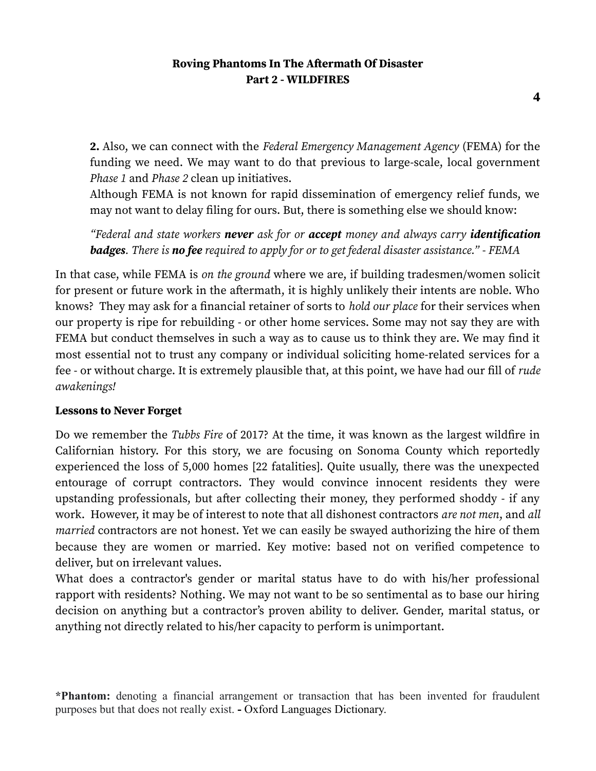**2.** Also, we can connect with the *Federal Emergency Management Agency* (FEMA) for the funding we need. We may want to do that previous to large-scale, local government *Phase 1* and *Phase 2* clean up initiatives.

Although FEMA is not known for rapid dissemination of emergency relief funds, we may not want to delay filing for ours. But, there is something else we should know:

*"Federal and state workers never ask for or accept money and always carry identification badges. There is no fee required to apply for or to get federal disaster assistance." - FEMA*

In that case, while FEMA is *on the ground* where we are, if building tradesmen/women solicit for present or future work in the aftermath, it is highly unlikely their intents are noble. Who knows? They may ask for a financial retainer of sorts to *hold our place* for their services when our property is ripe for rebuilding - or other home services. Some may not say they are with FEMA but conduct themselves in such a way as to cause us to think they are. We may find it most essential not to trust any company or individual soliciting home-related services for a fee - or without charge. It is extremely plausible that, at this point, we have had our fill of *rude awakenings!*

#### **Lessons to Never Forget**

Do we remember the *Tubbs Fire* of 2017? At the time, it was known as the largest wildfire in Californian history. For this story, we are focusing on Sonoma County which reportedly experienced the loss of 5,000 homes [22 fatalities]. Quite usually, there was the unexpected entourage of corrupt contractors. They would convince innocent residents they were upstanding professionals, but after collecting their money, they performed shoddy - if any work. However, it may be of interest to note that all dishonest contractors *are not men*, and *all married* contractors are not honest. Yet we can easily be swayed authorizing the hire of them because they are women or married. Key motive: based not on verified competence to deliver, but on irrelevant values.

What does a contractor's gender or marital status have to do with his/her professional rapport with residents? Nothing. We may not want to be so sentimental as to base our hiring decision on anything but a contractor's proven ability to deliver. Gender, marital status, or anything not directly related to his/her capacity to perform is unimportant.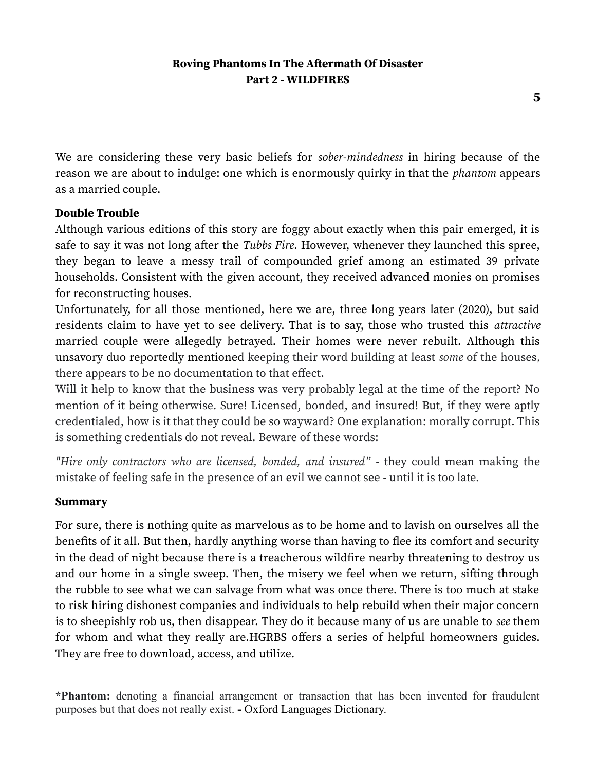**5**

We are considering these very basic beliefs for *sober-mindedness* in hiring because of the reason we are about to indulge: one which is enormously quirky in that the *phantom* appears as a married couple.

### **Double Trouble**

Although various editions of this story are foggy about exactly when this pair emerged, it is safe to say it was not long after the *Tubbs Fire*. However, whenever they launched this spree, they began to leave a messy trail of compounded grief among an estimated 39 private households. Consistent with the given account, they received advanced monies on promises for reconstructing houses.

Unfortunately, for all those mentioned, here we are, three long years later (2020), but said residents claim to have yet to see delivery. That is to say, those who trusted this *attractive* married couple were allegedly betrayed. Their homes were never rebuilt. Although this unsavory duo reportedly mentioned keeping their word building at least *some* of the houses*,* there appears to be no documentation to that effect.

Will it help to know that the business was very probably legal at the time of the report? No mention of it being otherwise. Sure! Licensed, bonded, and insured! But, if they were aptly credentialed, how is it that they could be so wayward? One explanation: morally corrupt. This is something credentials do not reveal. Beware of these words:

*"Hire only contractors who are licensed, bonded, and insured"* - they could mean making the mistake of feeling safe in the presence of an evil we cannot see - until it is too late.

#### **Summary**

For sure, there is nothing quite as marvelous as to be home and to lavish on ourselves all the benefits of it all. But then, hardly anything worse than having to flee its comfort and security in the dead of night because there is a treacherous wildfire nearby threatening to destroy us and our home in a single sweep. Then, the misery we feel when we return, sifting through the rubble to see what we can salvage from what was once there. There is too much at stake to risk hiring dishonest companies and individuals to help rebuild when their major concern is to sheepishly rob us, then disappear. They do it because many of us are unable to *see* them for whom and what they really are.HGRBS offers a series of helpful homeowners guides. They are free to download, access, and utilize.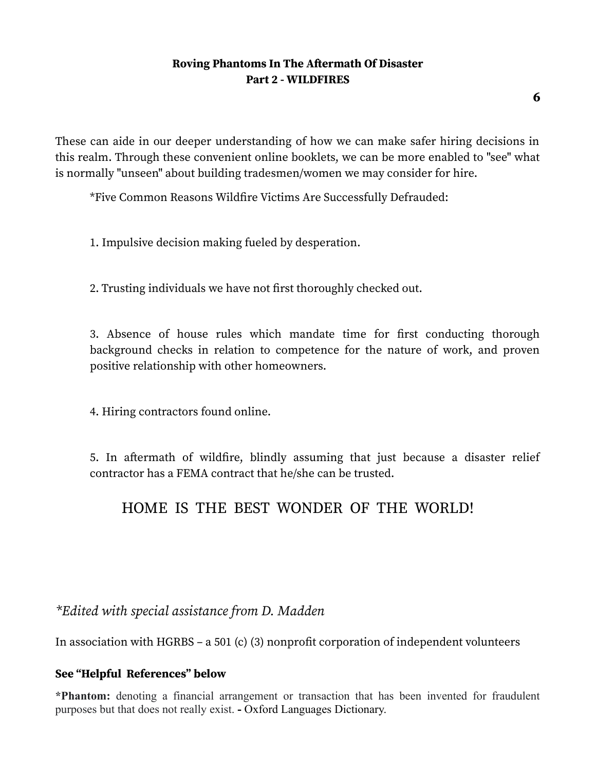**6**

These can aide in our deeper understanding of how we can make safer hiring decisions in this realm. Through these convenient online booklets, we can be more enabled to "see" what is normally "unseen" about building tradesmen/women we may consider for hire.

\*Five Common Reasons Wildfire Victims Are Successfully Defrauded:

1. Impulsive decision making fueled by desperation.

2. Trusting individuals we have not first thoroughly checked out.

3. Absence of house rules which mandate time for first conducting thorough background checks in relation to competence for the nature of work, and proven positive relationship with other homeowners.

4. Hiring contractors found online.

5. In aftermath of wildfire, blindly assuming that just because a disaster relief contractor has a FEMA contract that he/she can be trusted.

# HOME IS THE BEST WONDER OF THE WORLD!

# *\*Edited with special assistance from D. Madden*

In association with HGRBS – a 501 (c) (3) nonprofit corporation of independent volunteers

### **See "Helpful References" below**